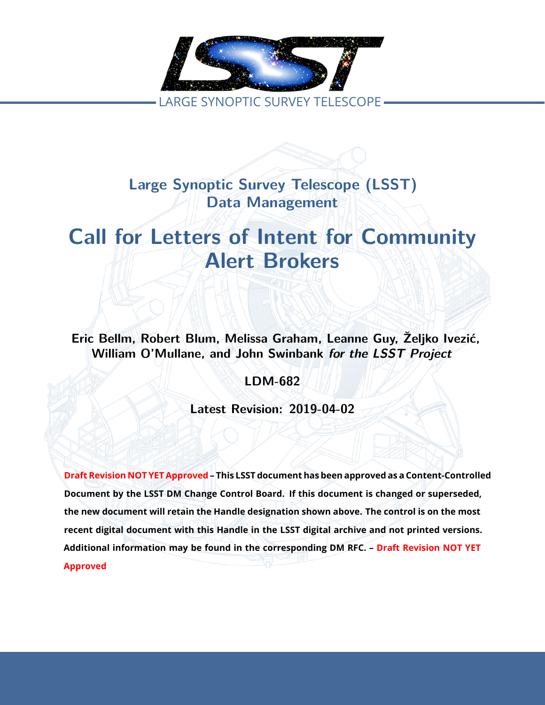

**Large Synoptic Survey Telescope (LSST) Data Management**

# tters of Intent for Comm<br>Alert Brokers<br>t Blum, Melissa Graham, Leanne Guy, Željl<br>Ilane, and John Swinbank for the LSST Pro<br>LDM-682<br>Latest Revision: 2019-04-02 **Call for Letters of Intent for Community Alert Brokers**

**Eric Bellm, Robert Blum, Melissa Graham, Leanne Guy, Željko Ivezić, William O'Mullane, and John Swinbank** *for the LSST Project*

**LDM-682**

**Latest Revision: 2019-04-02**

**Draft Revision NOT YET Approved – This LSST document has been approved as a Content-Controlled Document by the LSST DM Change Control Board. If this document is changed or superseded, the new document will retain the Handle designation shown above. The control is on the most recent digital document with this Handle in the LSST digital archive and not printed versions. Additional information may be found in the corresponding DM RFC. – Draft Revision NOT YET Approved**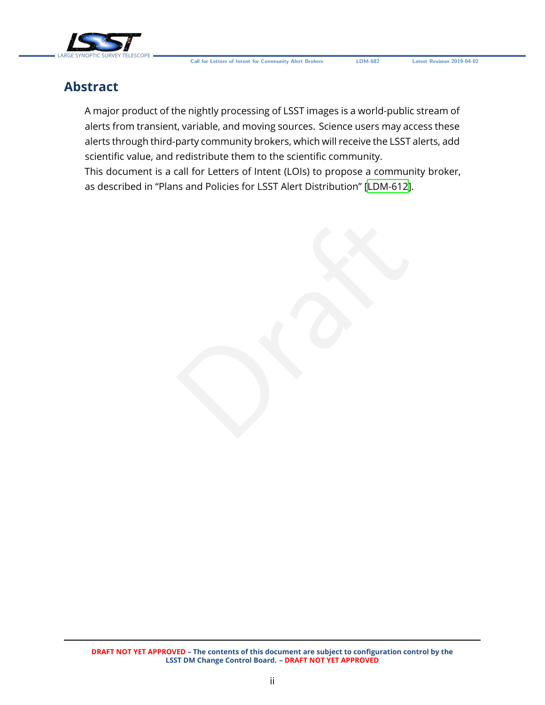

# **Abstract**

A major product of the nightly processing of LSST images is a world-public stream of alerts from transient, variable, and moving sources. Science users may access these alerts through third-party community brokers, which will receive the LSST alerts, add scientific value, and redistribute them to the scientific community.

This document is a call for Letters of Intent (LOIs) to propose a community broker, as described in "Plans and Policies for LSST Alert Distribution" [\[LDM-612\]](#page-6-0).

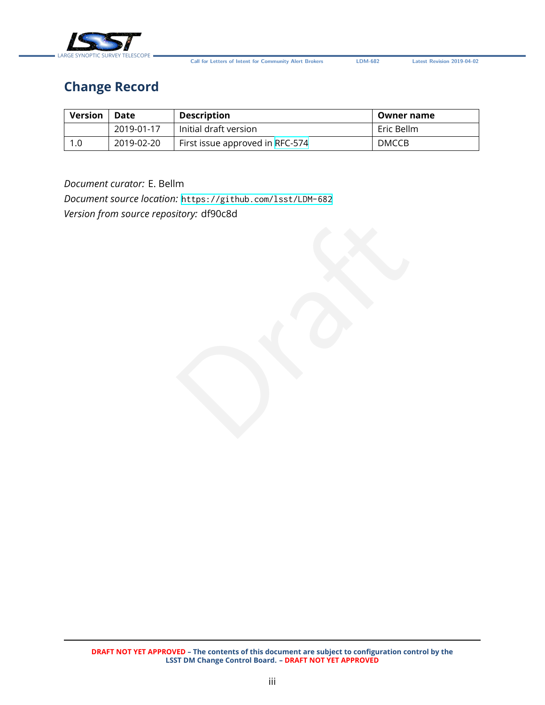

**Call for Letters of Intent for Community Alert Brokers LDM-682 Latest Revision 2019-04-02**

# **Change Record**

| <b>Version</b> | Date       | <b>Description</b>              | Owner name   |
|----------------|------------|---------------------------------|--------------|
|                | 2019-01-17 | Initial draft version           | Eric Bellm   |
|                | 2019-02-20 | First issue approved in RFC-574 | <b>DMCCB</b> |

#### *Document curator:* E. Bellm

Draft *Document source location:* <https://github.com/lsst/LDM-682> *Version from source repository:* df90c8d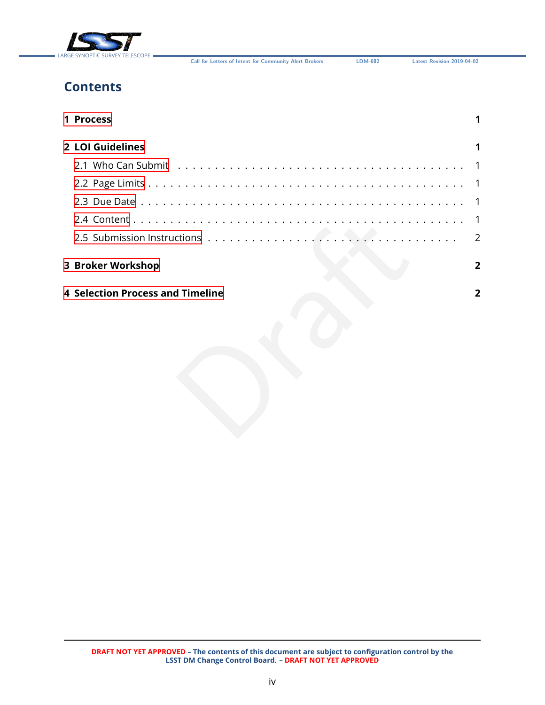

**Call for Letters of Intent for Community Alert Brokers LDM-682 Latest Revision 2019-04-02**

# **Contents**

| 1 Process                               |              |
|-----------------------------------------|--------------|
| 2 LOI Guidelines                        |              |
|                                         |              |
|                                         | -1           |
|                                         |              |
|                                         |              |
|                                         | 2            |
| 3 Broker Workshop                       | $\mathbf{2}$ |
| <b>4 Selection Process and Timeline</b> | 2            |
|                                         |              |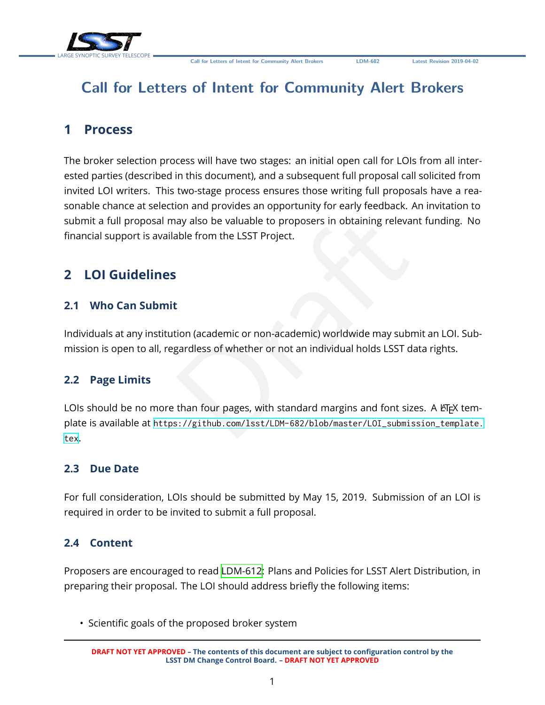

# **Call for Letters of Intent for Community Alert Brokers**

# <span id="page-4-0"></span>**1 Process**

The broker selection process will have two stages: an initial open call for LOIs from all interested parties (described in this document), and a subsequent full proposal call solicited from invited LOI writers. This two-stage process ensures those writing full proposals have a reasonable chance at selection and provides an opportunity for early feedback. An invitation to submit a full proposal may also be valuable to proposers in obtaining relevant funding. No financial support is available from the LSST Project.

# <span id="page-4-2"></span><span id="page-4-1"></span>**2 LOI Guidelines**

#### **2.1 Who Can Submit**

Individuals at any institution (academic or non-academic) worldwide may submit an LOI. Submission is open to all, regardless of whether or not an individual holds LSST data rights.

#### <span id="page-4-3"></span>**2.2 Page Limits**

Draft LOIs should be no more than four pages, with standard margins and font sizes. A ETFX template is available at [https://github.com/lsst/LDM-682/blob/master/LOI\\_submission\\_template.](https://github.com/lsst/LDM-682/blob/master/LOI_submission_template.tex) [tex](https://github.com/lsst/LDM-682/blob/master/LOI_submission_template.tex) .

#### <span id="page-4-4"></span>**2.3 Due Date**

For full consideration, LOIs should be submitted by May 15, 2019. Submission of an LOI is required in order to be invited to submit a full proposal.

#### <span id="page-4-5"></span>**2.4 Content**

Proposers are encouraged to read [LDM-612](#page-6-0): Plans and Policies for LSST Alert Distribution, in preparing their proposal. The LOI should address briefly the following items:

• Scientific goals of the proposed broker system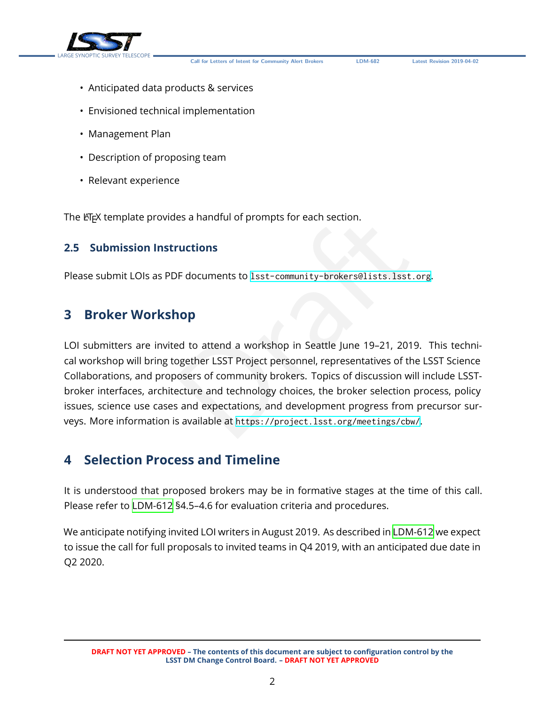

**Call for Letters of Intent for Community Alert Brokers LDM-682 Latest Revision 2019-04-02**

- Anticipated data products & services
- Envisioned technical implementation
- Management Plan
- Description of proposing team
- Relevant experience

The ET<sub>E</sub>X template provides a handful of prompts for each section.

#### **2.5 Submission Instructions**

Please submit LOIs as PDF documents to <lsst-community-brokers@lists.lsst.org> .

#### <span id="page-5-1"></span>**3 Broker Workshop**

<span id="page-5-0"></span>es a handful of prompts for each section.<br>
PF documents to 1sst-community-brokers@lists.1sst.org<br> **1OP**<br>
ed to attend a workshop in Seattle June 19–21, 2019.<br>
ogether LSST Project personnel, representatives of the L<br>
oseer LOI submitters are invited to attend a workshop in Seattle June 19–21, 2019. This technical workshop will bring together LSST Project personnel, representatives of the LSST Science Collaborations, and proposers of community brokers. Topics of discussion will include LSSTbroker interfaces, architecture and technology choices, the broker selection process, policy issues, science use cases and expectations, and development progress from precursor surveys. More information is available at <https://project.lsst.org/meetings/cbw/>.

### <span id="page-5-2"></span>**4 Selection Process and Timeline**

It is understood that proposed brokers may be in formative stages at the time of this call. Please refer to [LDM-612](#page-6-0) §4.5–4.6 for evaluation criteria and procedures.

We anticipate notifying invited LOI writers in August 2019. As described in [LDM-612](#page-6-0) we expect to issue the call for full proposals to invited teams in Q4 2019, with an anticipated due date in Q2 2020.

**DRAFT NOT YET APPROVED – The contents of this document are subject to configuration control by the LSST DM Change Control Board. – DRAFT NOT YET APPROVED**